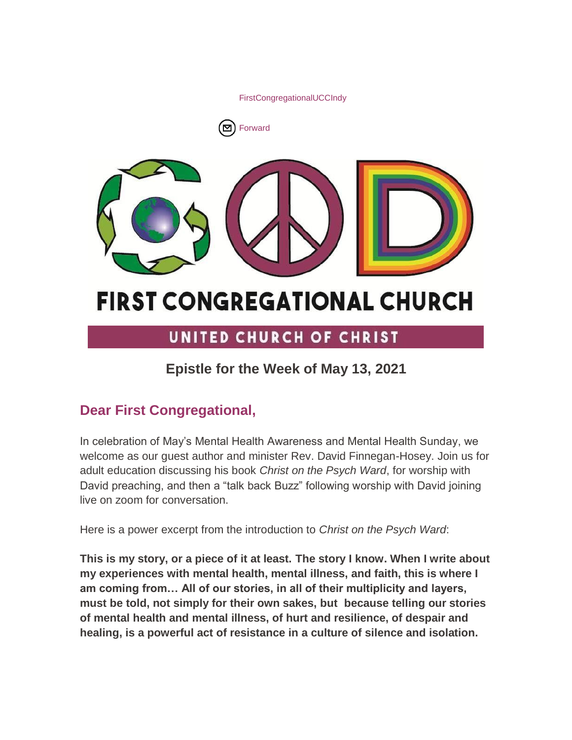[FirstCongregationalUCCIndy](http://www.facebook.com/sharer/sharer.php?u=https%3A%2F%2Fmailchi.mp%2Fb1d437b55836%2Fepistle-for-the-week-of-may-13th)





# **FIRST CONGREGATIONAL CHURCH**

# UNITED CHURCH OF CHRIST

# **Epistle for the Week of May 13, 2021**

# **Dear First Congregational,**

In celebration of May's Mental Health Awareness and Mental Health Sunday, we welcome as our guest author and minister Rev. David Finnegan-Hosey. Join us for adult education discussing his book *Christ on the Psych Ward*, for worship with David preaching, and then a "talk back Buzz" following worship with David joining live on zoom for conversation.

Here is a power excerpt from the introduction to *Christ on the Psych Ward*:

**This is my story, or a piece of it at least. The story I know. When I write about my experiences with mental health, mental illness, and faith, this is where I am coming from… All of our stories, in all of their multiplicity and layers, must be told, not simply for their own sakes, but because telling our stories of mental health and mental illness, of hurt and resilience, of despair and healing, is a powerful act of resistance in a culture of silence and isolation.**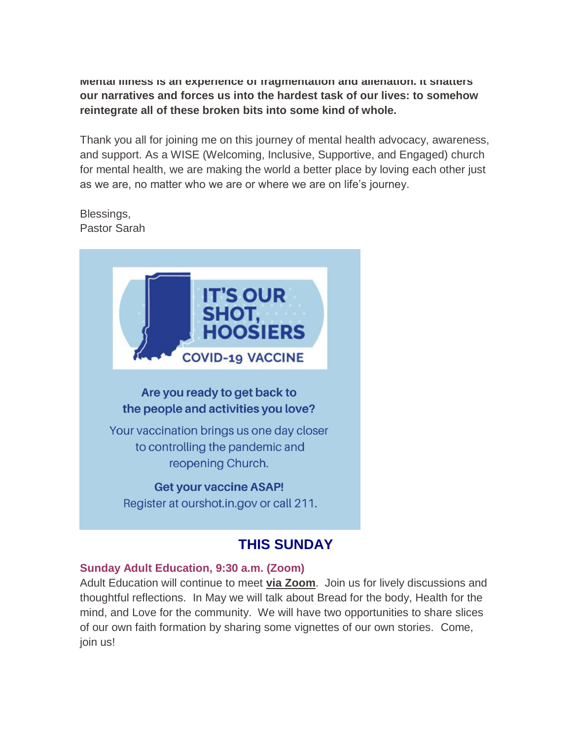**Mental Illness is an experience of fragmentation and alienation. It shatters our narratives and forces us into the hardest task of our lives: to somehow reintegrate all of these broken bits into some kind of whole.**

Thank you all for joining me on this journey of mental health advocacy, awareness, and support. As a WISE (Welcoming, Inclusive, Supportive, and Engaged) church for mental health, we are making the world a better place by loving each other just as we are, no matter who we are or where we are on life's journey.

Blessings, Pastor Sarah



# **THIS SUNDAY**

# **Sunday Adult Education, 9:30 a.m. (Zoom)**

Adult Education will continue to meet **[via Zoom](https://us02web.zoom.us/j/9264494206?pwd=dmtWbWE5UXRBTk5pcHZlYlB0aEFVUT09)**. Join us for lively discussions and thoughtful reflections. In May we will talk about Bread for the body, Health for the mind, and Love for the community. We will have two opportunities to share slices of our own faith formation by sharing some vignettes of our own stories. Come, join us!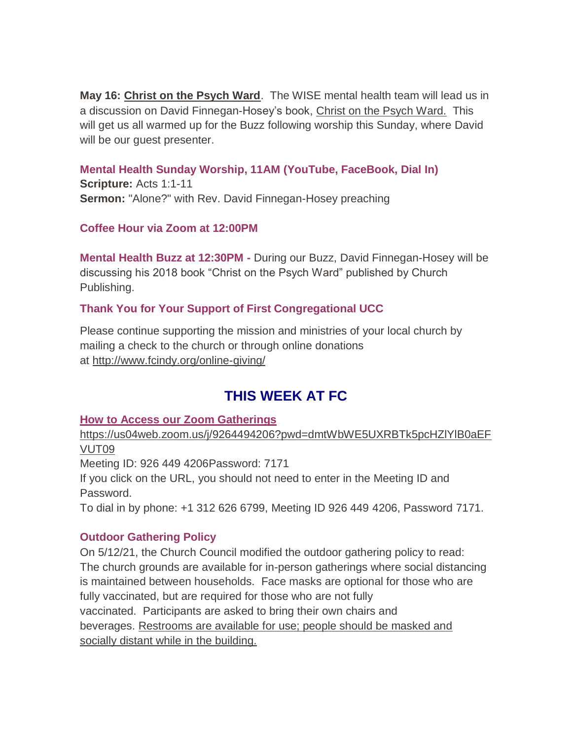**May 16: Christ on the Psych Ward**. The WISE mental health team will lead us in a discussion on David Finnegan-Hosey's book, Christ on the Psych Ward. This will get us all warmed up for the Buzz following worship this Sunday, where David will be our guest presenter.

### **Mental Health Sunday Worship, 11AM (YouTube, FaceBook, Dial In)**

**Scripture:** Acts 1:1-11 **Sermon:** "Alone?" with Rev. David Finnegan-Hosey preaching

# **Coffee Hour via Zoom at 12:00PM**

**Mental Health Buzz at 12:30PM -** During our Buzz, David Finnegan-Hosey will be discussing his 2018 book "Christ on the Psych Ward" published by Church Publishing.

# **Thank You for Your Support of First Congregational UCC**

Please continue supporting the mission and ministries of your local church by mailing a check to the church or through online donations at <http://www.fcindy.org/online-giving/>

# **THIS WEEK AT FC**

# **How to Access our Zoom Gatherings**

[https://us04web.zoom.us/j/9264494206?pwd=dmtWbWE5UXRBTk5pcHZlYlB0aEF](https://us04web.zoom.us/j/9264494206?pwd=dmtWbWE5UXRBTk5pcHZlYlB0aEFVUT09) [VUT09](https://us04web.zoom.us/j/9264494206?pwd=dmtWbWE5UXRBTk5pcHZlYlB0aEFVUT09)

Meeting ID: 926 449 4206Password: 7171

If you click on the URL, you should not need to enter in the Meeting ID and Password.

To dial in by phone: +1 312 626 6799, Meeting ID 926 449 4206, Password 7171.

# **Outdoor Gathering Policy**

On 5/12/21, the Church Council modified the outdoor gathering policy to read: The church grounds are available for in-person gatherings where social distancing is maintained between households. Face masks are optional for those who are fully vaccinated, but are required for those who are not fully vaccinated. Participants are asked to bring their own chairs and beverages. Restrooms are available for use; people should be masked and socially distant while in the building.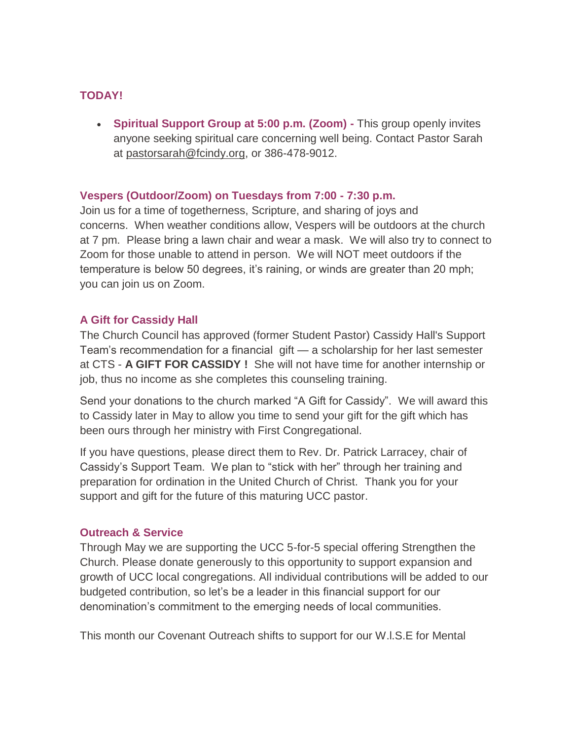# **TODAY!**

 **Spiritual Support Group at 5:00 p.m. (Zoom) -** This group openly invites anyone seeking spiritual care concerning well being. Contact Pastor Sarah at [pastorsarah@fcindy.org,](mailto:pastorsarah@fcindy.org) or 386-478-9012.

#### **Vespers (Outdoor/Zoom) on Tuesdays from 7:00 - 7:30 p.m.**

Join us for a time of togetherness, Scripture, and sharing of joys and concerns. When weather conditions allow, Vespers will be outdoors at the church at 7 pm. Please bring a lawn chair and wear a mask. We will also try to connect to Zoom for those unable to attend in person. We will NOT meet outdoors if the temperature is below 50 degrees, it's raining, or winds are greater than 20 mph; you can join us on Zoom.

#### **A Gift for Cassidy Hall**

The Church Council has approved (former Student Pastor) Cassidy Hall's Support Team's recommendation for a financial gift — a scholarship for her last semester at CTS - **A GIFT FOR CASSIDY !** She will not have time for another internship or job, thus no income as she completes this counseling training.

Send your donations to the church marked "A Gift for Cassidy". We will award this to Cassidy later in May to allow you time to send your gift for the gift which has been ours through her ministry with First Congregational.

If you have questions, please direct them to Rev. Dr. Patrick Larracey, chair of Cassidy's Support Team. We plan to "stick with her" through her training and preparation for ordination in the United Church of Christ. Thank you for your support and gift for the future of this maturing UCC pastor.

#### **Outreach & Service**

Through May we are supporting the UCC 5-for-5 special offering Strengthen the Church. Please donate generously to this opportunity to support expansion and growth of UCC local congregations. All individual contributions will be added to our budgeted contribution, so let's be a leader in this financial support for our denomination's commitment to the emerging needs of local communities.

This month our Covenant Outreach shifts to support for our W.l.S.E for Mental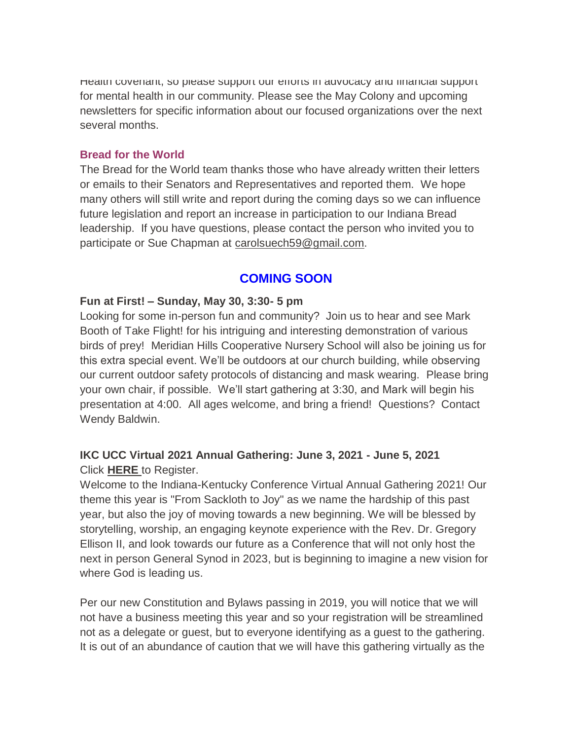Health covenant, so please support our efforts in advocacy and financial support for mental health in our community. Please see the May Colony and upcoming newsletters for specific information about our focused organizations over the next several months.

#### **Bread for the World**

The Bread for the World team thanks those who have already written their letters or emails to their Senators and Representatives and reported them. We hope many others will still write and report during the coming days so we can influence future legislation and report an increase in participation to our Indiana Bread leadership. If you have questions, please contact the person who invited you to participate or Sue Chapman at [carolsuech59@gmail.com.](mailto:carolsuech59@gmail.com)

# **COMING SOON**

#### **Fun at First! – Sunday, May 30, 3:30- 5 pm**

Looking for some in-person fun and community? Join us to hear and see Mark Booth of Take Flight! for his intriguing and interesting demonstration of various birds of prey! Meridian Hills Cooperative Nursery School will also be joining us for this extra special event. We'll be outdoors at our church building, while observing our current outdoor safety protocols of distancing and mask wearing. Please bring your own chair, if possible. We'll start gathering at 3:30, and Mark will begin his presentation at 4:00. All ages welcome, and bring a friend! Questions? Contact Wendy Baldwin.

# **IKC UCC Virtual 2021 Annual Gathering: June 3, 2021 - June 5, 2021** Click **[HERE](http://events.r20.constantcontact.com/register/event?oeidk=a07ehx2mnllab02071f&llr=iby9x9dab)** to Register.

Welcome to the Indiana-Kentucky Conference Virtual Annual Gathering 2021! Our theme this year is "From Sackloth to Joy" as we name the hardship of this past year, but also the joy of moving towards a new beginning. We will be blessed by storytelling, worship, an engaging keynote experience with the Rev. Dr. Gregory Ellison II, and look towards our future as a Conference that will not only host the next in person General Synod in 2023, but is beginning to imagine a new vision for where God is leading us.

Per our new Constitution and Bylaws passing in 2019, you will notice that we will not have a business meeting this year and so your registration will be streamlined not as a delegate or guest, but to everyone identifying as a guest to the gathering. It is out of an abundance of caution that we will have this gathering virtually as the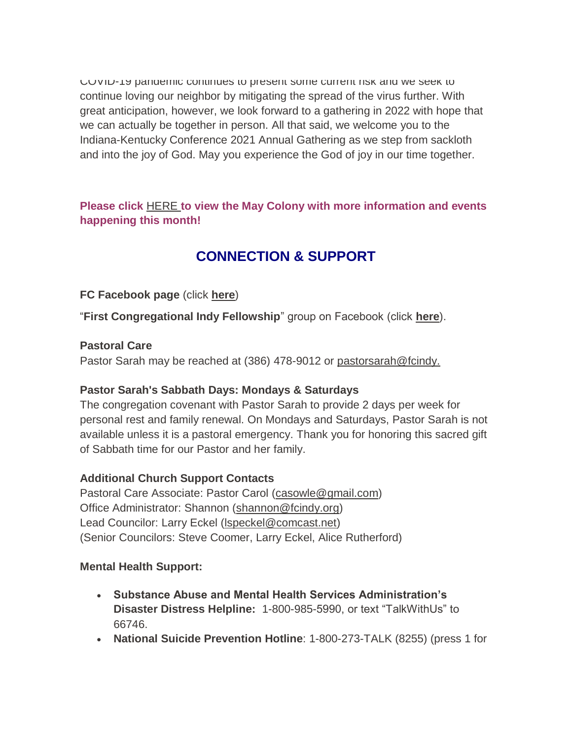COVID-19 pandemic continues to present some current risk and we seek to continue loving our neighbor by mitigating the spread of the virus further. With great anticipation, however, we look forward to a gathering in 2022 with hope that we can actually be together in person. All that said, we welcome you to the Indiana-Kentucky Conference 2021 Annual Gathering as we step from sackloth and into the joy of God. May you experience the God of joy in our time together.

**Please click** [HERE](https://mcusercontent.com/7a2e4c501545b6d78729a64a1/files/4829092a-9266-4e2f-a5d7-b1df27a81bda/May_Colony_2021.01.pdf) **[t](https://mcusercontent.com/7a2e4c501545b6d78729a64a1/files/4829092a-9266-4e2f-a5d7-b1df27a81bda/May_Colony_2021.01.pdf)o view the May Colony with more information and events happening this month!**

# **CONNECTION & SUPPORT**

# **FC Facebook page** (click **[here](https://www.facebook.com/FirstCongregationalUCCIndy/)**)

"**First Congregational Indy Fellowship**" group on Facebook (click **[here](https://www.facebook.com/groups/521333455186422/)**).

# **Pastoral Care**

Pastor Sarah may be reached at (386) 478-9012 or [pastorsarah@fcindy.](mailto:pastorsarah@fcindy.org)

# **Pastor Sarah's Sabbath Days: Mondays & Saturdays**

The congregation covenant with Pastor Sarah to provide 2 days per week for personal rest and family renewal. On Mondays and Saturdays, Pastor Sarah is not available unless it is a pastoral emergency. Thank you for honoring this sacred gift of Sabbath time for our Pastor and her family.

# **Additional Church Support Contacts**

Pastoral Care Associate: Pastor Carol [\(casowle@gmail.com\)](mailto:casowle@gmail.com) Office Administrator: Shannon [\(shannon@fcindy.org\)](mailto:shannon@fcindy.org) Lead Councilor: Larry Eckel [\(lspeckel@comcast.net\)](mailto:lspeckel@comcast.net) (Senior Councilors: Steve Coomer, Larry Eckel, Alice Rutherford)

# **Mental Health Support:**

- **Substance Abuse and Mental Health Services Administration's Disaster Distress Helpline:** 1-800-985-5990, or text "TalkWithUs" to 66746.
- **National Suicide Prevention Hotline**: 1-800-273-TALK (8255) (press 1 for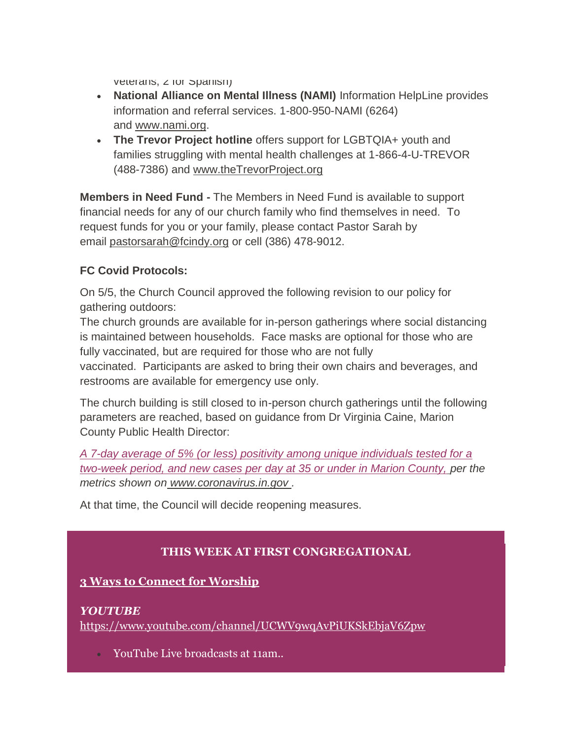veterans, *z* for Spanish)

- **National Alliance on Mental Illness (NAMI)** Information HelpLine provides information and referral services. 1-800-950-NAMI (6264) and [www.nami.org.](http://www.nami.org/)
- **The Trevor Project hotline** offers support for LGBTQIA+ youth and families struggling with mental health challenges at 1-866-4-U-TREVOR (488-7386) and [www.theTrevorProject.org](http://www.thetrevorproject.org/)

**Members in Need Fund -** The Members in Need Fund is available to support financial needs for any of our church family who find themselves in need. To request funds for you or your family, please contact Pastor Sarah by email [pastorsarah@fcindy.org](mailto:pastorsarah@fcindy.org) or cell (386) 478-9012.

# **FC Covid Protocols:**

On 5/5, the Church Council approved the following revision to our policy for gathering outdoors:

The church grounds are available for in-person gatherings where social distancing is maintained between households. Face masks are optional for those who are fully vaccinated, but are required for those who are not fully

vaccinated. Participants are asked to bring their own chairs and beverages, and restrooms are available for emergency use only.

The church building is still closed to in-person church gatherings until the following parameters are reached, based on guidance from Dr Virginia Caine, Marion County Public Health Director:

*A 7-day average of 5% (or less) positivity among unique individuals tested for a two-week period, and new cases per day at 35 or under in Marion County, per the metrics shown on [www.coronavirus.in.gov](http://www.coronavirus.in.gov/) .* 

At that time, the Council will decide reopening measures.

# **THIS WEEK AT FIRST CONGREGATIONAL**

# **3 Ways to Connect for Worship**

#### *YOUTUBE*

<https://www.youtube.com/channel/UCWV9wqAvPiUKSkEbjaV6Zpw>

YouTube Live broadcasts at 11am..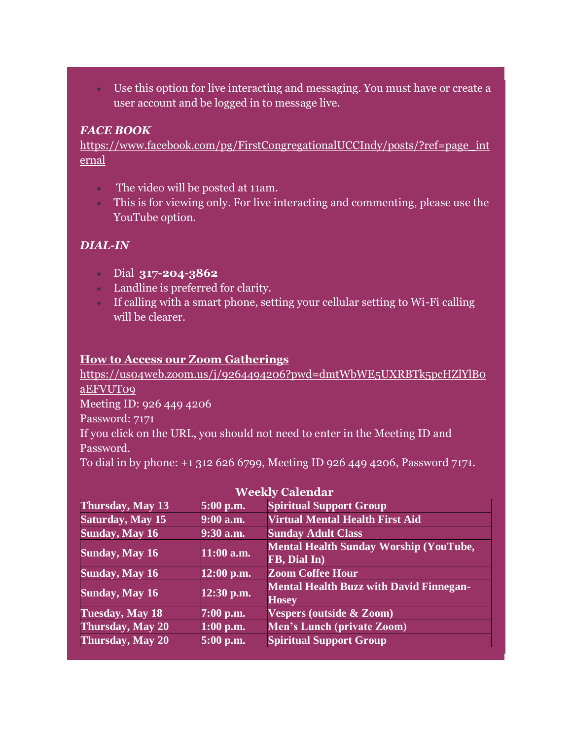Use this option for live interacting and messaging. You must have or create a user account and be logged in to message live.

### *FACE BOOK*

[https://www.facebook.com/pg/FirstCongregationalUCCIndy/posts/?ref=page\\_int](https://www.facebook.com/pg/FirstCongregationalUCCIndy/posts/?ref=page_internal) [ernal](https://www.facebook.com/pg/FirstCongregationalUCCIndy/posts/?ref=page_internal)

- The video will be posted at 11am.
- This is for viewing only. For live interacting and commenting, please use the YouTube option.

# *DIAL-IN*

- Dial **317-204-3862**
- Landline is preferred for clarity.
- If calling with a smart phone, setting your cellular setting to Wi-Fi calling will be clearer.

#### **How to Access our Zoom Gatherings**

[https://us04web.zoom.us/j/9264494206?pwd=dmtWbWE5UXRBTk5pcHZlYlB0](https://us04web.zoom.us/j/9264494206?pwd=dmtWbWE5UXRBTk5pcHZlYlB0aEFVUT09) [aEFVUT09](https://us04web.zoom.us/j/9264494206?pwd=dmtWbWE5UXRBTk5pcHZlYlB0aEFVUT09) Meeting ID: 926 449 4206 Password: 7171 If you click on the URL, you should not need to enter in the Meeting ID and Password. To dial in by phone: +1 312 626 6799, Meeting ID 926 449 4206, Password 7171.

| Thursday, May 13        | 5:00 p.m.    | <b>Spiritual Support Group</b>                                 |
|-------------------------|--------------|----------------------------------------------------------------|
| <b>Saturday, May 15</b> | $9:00$ a.m.  | <b>Virtual Mental Health First Aid</b>                         |
| <b>Sunday, May 16</b>   | 9:30 a.m.    | <b>Sunday Adult Class</b>                                      |
| <b>Sunday, May 16</b>   | $11:00$ a.m. | <b>Mental Health Sunday Worship (YouTube,</b><br>FB, Dial In)  |
| <b>Sunday, May 16</b>   | $12:00$ p.m. | <b>Zoom Coffee Hour</b>                                        |
| <b>Sunday, May 16</b>   | $12:30$ p.m. | <b>Mental Health Buzz with David Finnegan-</b><br><b>Hosey</b> |
| Tuesday, May 18         | $7:00$ p.m.  | <b>Vespers (outside &amp; Zoom)</b>                            |
| Thursday, May 20        | $1:00$ p.m.  | Men's Lunch (private Zoom)                                     |
| <b>Thursday, May 20</b> | 5:00 p.m.    | <b>Spiritual Support Group</b>                                 |

# **Weekly Calendar**